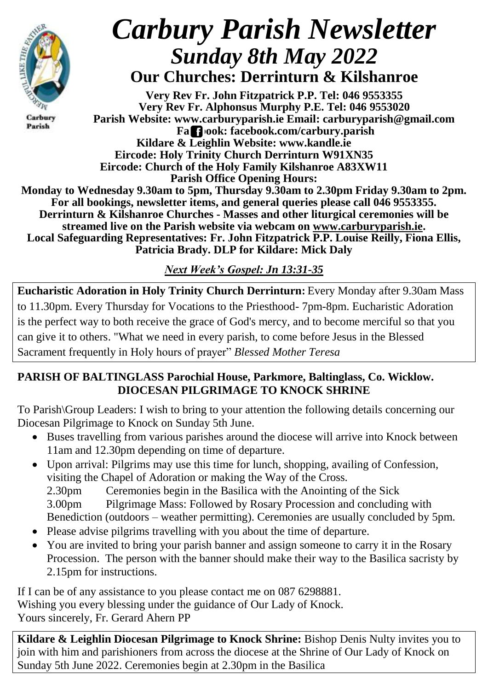

Carbury Parish

# *Carbury Parish Newsletter Sunday 8th May 2022* **Our Churches: Derrinturn & Kilshanroe**

**Very Rev Fr. John Fitzpatrick P.P. Tel: 046 9553355 Very Rev Fr. Alphonsus Murphy P.E. Tel: 046 9553020 Parish Website: www.carburyparish.ie Email: carburyparish@gmail.com Facebook: facebook.com/carbury.parish Kildare & Leighlin Website: www.kandle.ie Eircode: Holy Trinity Church Derrinturn W91XN35 Eircode: Church of the Holy Family Kilshanroe A83XW11 Parish Office Opening Hours: Monday to Wednesday 9.30am to 5pm, Thursday 9.30am to 2.30pm Friday 9.30am to 2pm. For all bookings, newsletter items, and general queries please call 046 9553355. Derrinturn & Kilshanroe Churches - Masses and other liturgical ceremonies will be streamed live on the Parish website via webcam on [www.carburyparish.ie.](http://www.carburyparish.ie/) Local Safeguarding Representatives: Fr. John Fitzpatrick P.P. Louise Reilly, Fiona Ellis, Patricia Brady. DLP for Kildare: Mick Daly**

*Next Week's Gospel: Jn 13:31-35*

**Eucharistic Adoration in Holy Trinity Church Derrinturn:** Every Monday after 9.30am Mass to 11.30pm. Every Thursday for Vocations to the Priesthood- 7pm-8pm. Eucharistic Adoration is the perfect way to both receive the grace of God's mercy, and to become merciful so that you can give it to others. "What we need in every parish, to come before Jesus in the Blessed Sacrament frequently in Holy hours of prayer" *Blessed Mother Teresa*

## **PARISH OF BALTINGLASS Parochial House, Parkmore, Baltinglass, Co. Wicklow. DIOCESAN PILGRIMAGE TO KNOCK SHRINE**

To Parish\Group Leaders: I wish to bring to your attention the following details concerning our Diocesan Pilgrimage to Knock on Sunday 5th June.

- Buses travelling from various parishes around the diocese will arrive into Knock between 11am and 12.30pm depending on time of departure.
- Upon arrival: Pilgrims may use this time for lunch, shopping, availing of Confession, visiting the Chapel of Adoration or making the Way of the Cross.

2.30pm Ceremonies begin in the Basilica with the Anointing of the Sick 3.00pm Pilgrimage Mass: Followed by Rosary Procession and concluding with Benediction (outdoors – weather permitting). Ceremonies are usually concluded by 5pm.

- Please advise pilgrims travelling with you about the time of departure.
- You are invited to bring your parish banner and assign someone to carry it in the Rosary Procession. The person with the banner should make their way to the Basilica sacristy by 2.15pm for instructions.

If I can be of any assistance to you please contact me on 087 6298881. Wishing you every blessing under the guidance of Our Lady of Knock. Yours sincerely, Fr. Gerard Ahern PP

**Kildare & Leighlin Diocesan Pilgrimage to Knock Shrine:** Bishop Denis Nulty invites you to join with him and parishioners from across the diocese at the Shrine of Our Lady of Knock on Sunday 5th June 2022. Ceremonies begin at 2.30pm in the Basilica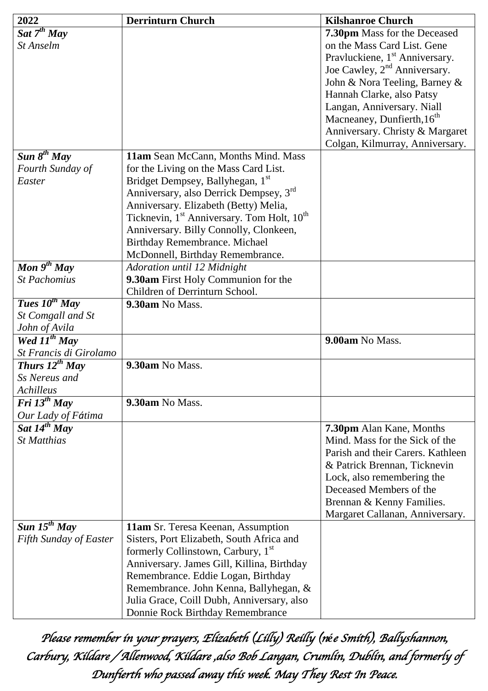| 2022                          | <b>Derrinturn Church</b>                                           | <b>Kilshanroe Church</b>                   |
|-------------------------------|--------------------------------------------------------------------|--------------------------------------------|
| Sat $7^{th}$ May              |                                                                    | 7.30pm Mass for the Deceased               |
| St Anselm                     |                                                                    | on the Mass Card List. Gene                |
|                               |                                                                    | Pravluckiene, 1 <sup>st</sup> Anniversary. |
|                               |                                                                    | Joe Cawley, 2 <sup>nd</sup> Anniversary.   |
|                               |                                                                    | John & Nora Teeling, Barney &              |
|                               |                                                                    | Hannah Clarke, also Patsy                  |
|                               |                                                                    | Langan, Anniversary. Niall                 |
|                               |                                                                    | Macneaney, Dunfierth, 16 <sup>th</sup>     |
|                               |                                                                    | Anniversary. Christy & Margaret            |
|                               |                                                                    | Colgan, Kilmurray, Anniversary.            |
| Sun $8^{th}$ May              | 11am Sean McCann, Months Mind. Mass                                |                                            |
| Fourth Sunday of              | for the Living on the Mass Card List.                              |                                            |
| Easter                        | Bridget Dempsey, Ballyhegan, 1 <sup>st</sup>                       |                                            |
|                               | Anniversary, also Derrick Dempsey, 3rd                             |                                            |
|                               | Anniversary. Elizabeth (Betty) Melia,                              |                                            |
|                               | Ticknevin, 1 <sup>st</sup> Anniversary. Tom Holt, 10 <sup>th</sup> |                                            |
|                               |                                                                    |                                            |
|                               | Anniversary. Billy Connolly, Clonkeen,                             |                                            |
|                               | Birthday Remembrance. Michael                                      |                                            |
|                               | McDonnell, Birthday Remembrance.                                   |                                            |
| Mon $9^{th}$ May              | Adoration until 12 Midnight                                        |                                            |
| <b>St Pachomius</b>           | 9.30am First Holy Communion for the                                |                                            |
|                               | Children of Derrinturn School.                                     |                                            |
| <b>Tues</b> $10^{th}$ May     | 9.30am No Mass.                                                    |                                            |
| St Comgall and St             |                                                                    |                                            |
| John of Avila                 |                                                                    |                                            |
| Wed $11^{th}$ May             |                                                                    | 9.00am No Mass.                            |
| St Francis di Girolamo        |                                                                    |                                            |
| Thurs $12^{th}$ May           | 9.30am No Mass.                                                    |                                            |
| Ss Nereus and                 |                                                                    |                                            |
| Achilleus                     |                                                                    |                                            |
| Fri $13^{th}$ May             | 9.30am No Mass.                                                    |                                            |
| Our Lady of Fátima            |                                                                    |                                            |
| Sat $14^{th}$ May             |                                                                    | 7.30pm Alan Kane, Months                   |
| <b>St Matthias</b>            |                                                                    | Mind. Mass for the Sick of the             |
|                               |                                                                    | Parish and their Carers. Kathleen          |
|                               |                                                                    | & Patrick Brennan, Ticknevin               |
|                               |                                                                    | Lock, also remembering the                 |
|                               |                                                                    | Deceased Members of the                    |
|                               |                                                                    | Brennan & Kenny Families.                  |
|                               |                                                                    | Margaret Callanan, Anniversary.            |
| Sun $15^{th}$ May             | 11am Sr. Teresa Keenan, Assumption                                 |                                            |
| <b>Fifth Sunday of Easter</b> | Sisters, Port Elizabeth, South Africa and                          |                                            |
|                               | formerly Collinstown, Carbury, 1 <sup>st</sup>                     |                                            |
|                               | Anniversary. James Gill, Killina, Birthday                         |                                            |
|                               | Remembrance. Eddie Logan, Birthday                                 |                                            |
|                               | Remembrance. John Kenna, Ballyhegan, &                             |                                            |
|                               | Julia Grace, Coill Dubh, Anniversary, also                         |                                            |
|                               | Donnie Rock Birthday Remembrance                                   |                                            |

*Please remember in your prayers, Elizabeth (Lilly) Reilly (née Smith), Ballyshannon, Carbury, Kildare / Allenwood, Kildare ,also Bob Langan, Crumlin, Dublin, and formerly of Dunfierth who passed away this week. May They Rest In Peace.*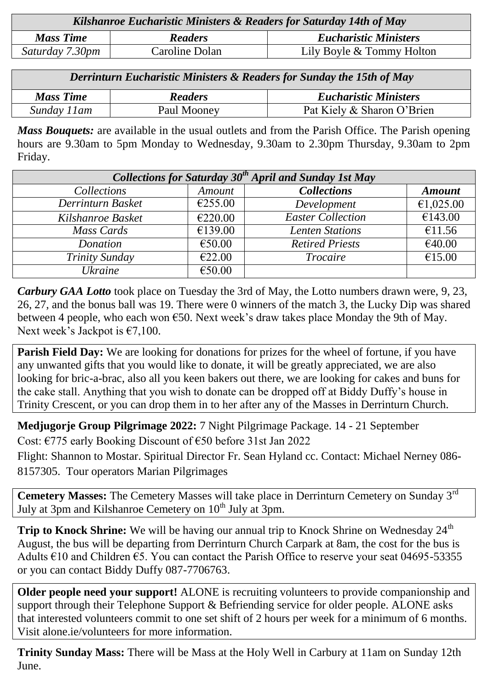| Kilshanroe Eucharistic Ministers & Readers for Saturday 14th of May |                |                              |  |
|---------------------------------------------------------------------|----------------|------------------------------|--|
| <b>Mass Time</b>                                                    | <b>Readers</b> | <b>Eucharistic Ministers</b> |  |
| Saturday 7.30pm                                                     | Caroline Dolan | Lily Boyle & Tommy Holton    |  |
|                                                                     |                |                              |  |

*Derrinturn Eucharistic Ministers & Readers for Sunday the 15th of May*

| <b>Mass Time</b> | Readers     | <b>Eucharistic Ministers</b> |
|------------------|-------------|------------------------------|
| Sunday 11 am     | Paul Mooney | Pat Kiely & Sharon O'Brien   |

*Mass Bouquets:* are available in the usual outlets and from the Parish Office. The Parish opening hours are 9.30am to 5pm Monday to Wednesday, 9.30am to 2.30pm Thursday, 9.30am to 2pm Friday.

| Collections for Saturday $30th$ April and Sunday 1st May |         |                          |                  |  |
|----------------------------------------------------------|---------|--------------------------|------------------|--|
| Collections                                              | Amount  | <b>Collections</b>       | <b>Amount</b>    |  |
| Derrinturn Basket                                        | €255.00 | Development              | €1,025.00        |  |
| Kilshanroe Basket                                        | €220.00 | <b>Easter Collection</b> | $\sqrt{6143.00}$ |  |
| Mass Cards                                               | €139.00 | <b>Lenten Stations</b>   | €11.56           |  |
| Donation                                                 | €50.00  | <b>Retired Priests</b>   | €40.00           |  |
| <b>Trinity Sunday</b>                                    | €22.00  | <b>Trocaire</b>          | €15.00           |  |
| <b>Ukraine</b>                                           | €50.00  |                          |                  |  |

*Carbury GAA Lotto* took place on Tuesday the 3rd of May, the Lotto numbers drawn were, 9, 23, 26, 27, and the bonus ball was 19. There were 0 winners of the match 3, the Lucky Dip was shared between 4 people, who each won  $\epsilon$ 50. Next week's draw takes place Monday the 9th of May. Next week's Jackpot is  $\epsilon$ 7,100.

**Parish Field Day:** We are looking for donations for prizes for the wheel of fortune, if you have any unwanted gifts that you would like to donate, it will be greatly appreciated, we are also looking for bric-a-brac, also all you keen bakers out there, we are looking for cakes and buns for the cake stall. Anything that you wish to donate can be dropped off at Biddy Duffy's house in Trinity Crescent, or you can drop them in to her after any of the Masses in Derrinturn Church.

**Medjugorje Group Pilgrimage 2022:** 7 Night Pilgrimage Package. 14 - 21 September Cost: €775 early Booking Discount of €50 before 31st Jan 2022

Flight: Shannon to Mostar. Spiritual Director Fr. Sean Hyland cc. Contact: Michael Nerney 086- 8157305. Tour operators Marian Pilgrimages

**Cemetery Masses:** The Cemetery Masses will take place in Derrinturn Cemetery on Sunday 3rd July at 3pm and Kilshanroe Cemetery on  $10<sup>th</sup>$  July at 3pm.

**Trip to Knock Shrine:** We will be having our annual trip to Knock Shrine on Wednesday 24<sup>th</sup> August, the bus will be departing from Derrinturn Church Carpark at 8am, the cost for the bus is Adults €10 and Children €5. You can contact the Parish Office to reserve your seat 04695-53355 or you can contact Biddy Duffy 087-7706763.

**Older people need your support!** ALONE is recruiting volunteers to provide companionship and support through their Telephone Support & Befriending service for older people. ALONE asks that interested volunteers commit to one set shift of 2 hours per week for a minimum of 6 months. Visit [alone.ie/volunteers](http://alone.ie/volunteers) for more information.

**Trinity Sunday Mass:** There will be Mass at the Holy Well in Carbury at 11am on Sunday 12th June.